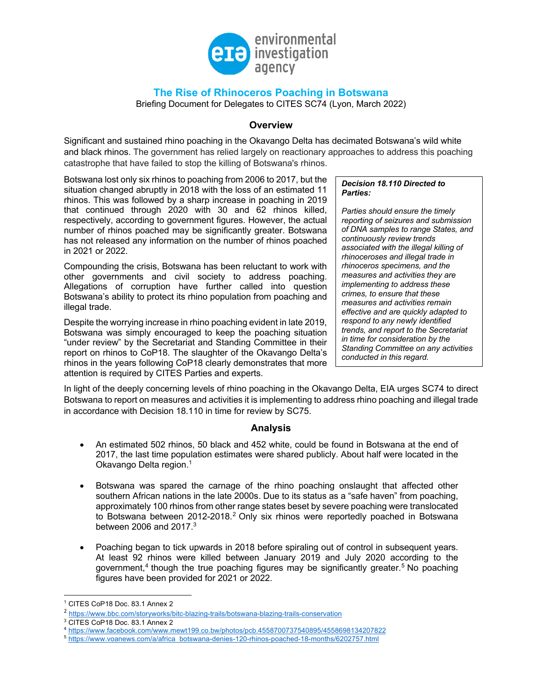

# **The Rise of Rhinoceros Poaching in Botswana**

Briefing Document for Delegates to CITES SC74 (Lyon, March 2022)

### **Overview**

Significant and sustained rhino poaching in the Okavango Delta has decimated Botswana's wild white and black rhinos. The government has relied largely on reactionary approaches to address this poaching catastrophe that have failed to stop the killing of Botswana's rhinos.

Botswana lost only six rhinos to poaching from 2006 to 2017, but the situation changed abruptly in 2018 with the loss of an estimated 11 rhinos. This was followed by a sharp increase in poaching in 2019 that continued through 2020 with 30 and 62 rhinos killed, respectively, according to government figures. However, the actual number of rhinos poached may be significantly greater. Botswana has not released any information on the number of rhinos poached in 2021 or 2022.

Compounding the crisis, Botswana has been reluctant to work with other governments and civil society to address poaching. Allegations of corruption have further called into question Botswana's ability to protect its rhino population from poaching and illegal trade.

Despite the worrying increase in rhino poaching evident in late 2019, Botswana was simply encouraged to keep the poaching situation "under review" by the Secretariat and Standing Committee in their report on rhinos to CoP18. The slaughter of the Okavango Delta's rhinos in the years following CoP18 clearly demonstrates that more attention is required by CITES Parties and experts.

#### *Decision 18.110 Directed to Parties:*

*Parties should ensure the timely reporting of seizures and submission of DNA samples to range States, and continuously review trends associated with the illegal killing of rhinoceroses and illegal trade in rhinoceros specimens, and the measures and activities they are implementing to address these crimes, to ensure that these measures and activities remain effective and are quickly adapted to respond to any newly identified trends, and report to the Secretariat in time for consideration by the Standing Committee on any activities conducted in this regard.*

In light of the deeply concerning levels of rhino poaching in the Okavango Delta, EIA urges SC74 to direct Botswana to report on measures and activities it is implementing to address rhino poaching and illegal trade in accordance with Decision 18.110 in time for review by SC75.

## **Analysis**

- An estimated 502 rhinos, 50 black and 452 white, could be found in Botswana at the end of 2017, the last time population estimates were shared publicly. About half were located in the Okavango Delta region.<sup>1</sup>
- Botswana was spared the carnage of the rhino poaching onslaught that affected other southern African nations in the late 2000s. Due to its status as a "safe haven" from poaching, approximately 100 rhinos from other range states beset by severe poaching were translocated to Botswana between 2012-2018.<sup>2</sup> Only six rhinos were reportedly poached in Botswana between 2006 and  $2017<sup>3</sup>$
- Poaching began to tick upwards in 2018 before spiraling out of control in subsequent years. At least 92 rhinos were killed between January 2019 and July 2020 according to the government, $4$  though the true poaching figures may be significantly greater.<sup>5</sup> No poaching figures have been provided for 2021 or 2022.

<sup>1</sup> CITES CoP18 Doc. 83.1 Annex 2

<sup>2</sup> https://www.bbc.com/storyworks/bitc-blazing-trails/botswana-blazing-trails-conservation

<sup>3</sup> CITES CoP18 Doc. 83.1 Annex 2

<sup>4</sup> https://www.facebook.com/www.mewt199.co.bw/photos/pcb.4558700737540895/4558698134207822<br>5 https://www.voanews.com/a/africa\_botswana-denies-120-rhinos-poached-18-months/6202757.html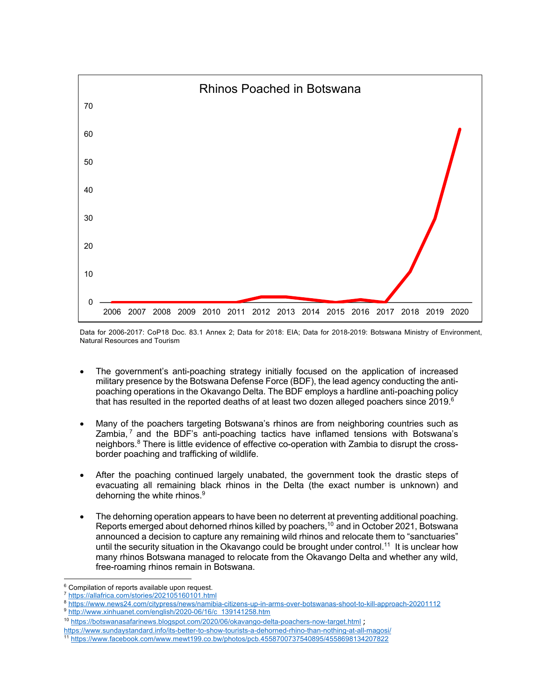

Data for 2006-2017: CoP18 Doc. 83.1 Annex 2; Data for 2018: EIA; Data for 2018-2019: Botswana Ministry of Environment, Natural Resources and Tourism

- The government's anti-poaching strategy initially focused on the application of increased military presence by the Botswana Defense Force (BDF), the lead agency conducting the antipoaching operations in the Okavango Delta. The BDF employs a hardline anti-poaching policy that has resulted in the reported deaths of at least two dozen alleged poachers since 2019.<sup>6</sup>
- Many of the poachers targeting Botswana's rhinos are from neighboring countries such as Zambia, $<sup>7</sup>$  and the BDF's anti-poaching tactics have inflamed tensions with Botswana's</sup> neighbors.<sup>8</sup> There is little evidence of effective co-operation with Zambia to disrupt the crossborder poaching and trafficking of wildlife.
- After the poaching continued largely unabated, the government took the drastic steps of evacuating all remaining black rhinos in the Delta (the exact number is unknown) and dehorning the white rhinos.<sup>9</sup>
- The dehorning operation appears to have been no deterrent at preventing additional poaching. Reports emerged about dehorned rhinos killed by poachers,<sup>10</sup> and in October 2021, Botswana announced a decision to capture any remaining wild rhinos and relocate them to "sanctuaries" until the security situation in the Okavango could be brought under control.<sup>11</sup> It is unclear how many rhinos Botswana managed to relocate from the Okavango Delta and whether any wild, free-roaming rhinos remain in Botswana.

https://www.sundaystandard.info/its-better-to-show-tourists-a-dehorned-rhino-than-nothing-at-all-magosi/

<sup>&</sup>lt;sup>6</sup> Compilation of reports available upon request.

<sup>7</sup> https://allafrica.com/stories/202105160101.html

<sup>8</sup> https://www.news24.com/citypress/news/namibia-citizens-up-in-arms-over-botswanas-shoot-to-kill-approach-20201112 9 http://www.xinhuanet.com/english/2020-06/16/c\_139141258.htm

<sup>&</sup>lt;sup>10</sup> https://botswanasafarinews.blogspot.com/2020/06/okavango-delta-poachers-now-target.html ;

<sup>11</sup> https://www.facebook.com/www.mewt199.co.bw/photos/pcb.4558700737540895/4558698134207822